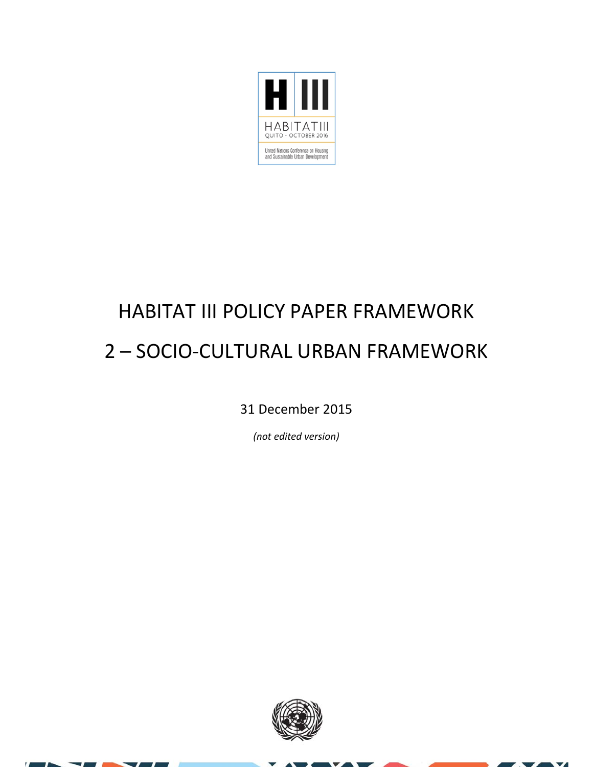

## HABITAT III POLICY PAPER FRAMEWORK 2 – SOCIO‐CULTURAL URBAN FRAMEWORK

31 December 2015

*(not edited version)*



×  $\overline{\mathbf{v}}$ z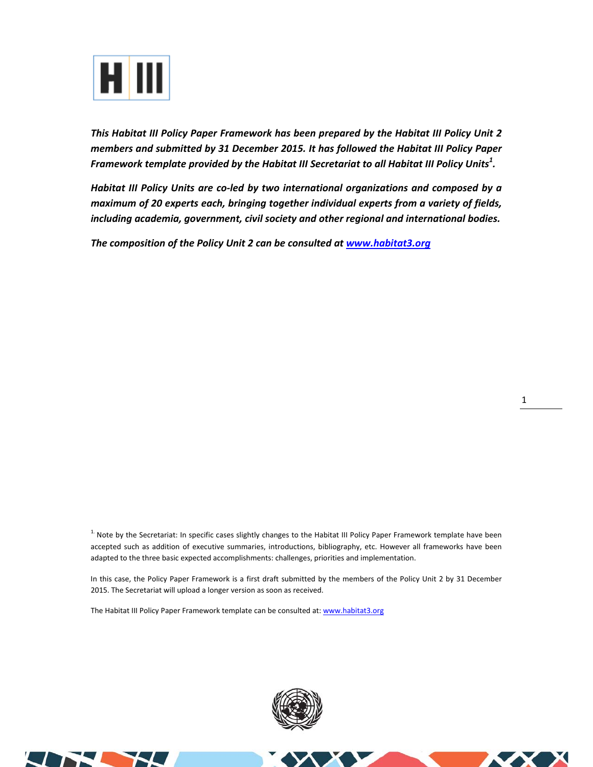

*This Habitat III Policy Paper Framework has been prepared by the Habitat III Policy Unit 2 members and submitted by 31 December 2015. It has followed the Habitat III Policy Paper Framework template provided by the Habitat III Secretariat to all Habitat III Policy Units<sup>1</sup> .* 

*Habitat III Policy Units are co‐led by two international organizations and composed by a maximum of 20 experts each, bringing together individual experts from a variety of fields, including academia, government, civil society and other regional and international bodies.* 

*The composition of the Policy Unit 2 can be consulted at www.habitat3.org* 

 $<sup>1</sup>$  Note by the Secretariat: In specific cases slightly changes to the Habitat III Policy Paper Framework template have been</sup> accepted such as addition of executive summaries, introductions, bibliography, etc. However all frameworks have been adapted to the three basic expected accomplishments: challenges, priorities and implementation.

In this case, the Policy Paper Framework is a first draft submitted by the members of the Policy Unit 2 by 31 December 2015. The Secretariat will upload a longer version as soon as received.

The Habitat III Policy Paper Framework template can be consulted at: www.habitat3.org



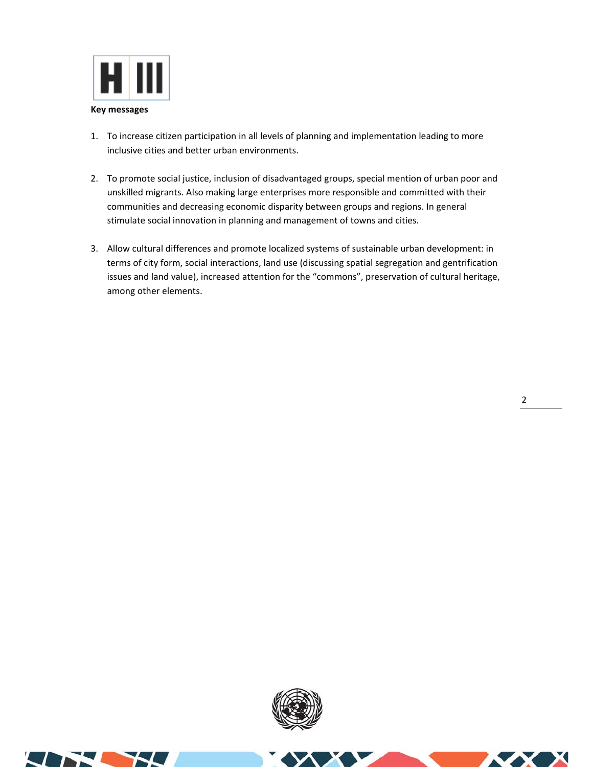

- 1. To increase citizen participation in all levels of planning and implementation leading to more inclusive cities and better urban environments.
- 2. To promote social justice, inclusion of disadvantaged groups, special mention of urban poor and unskilled migrants. Also making large enterprises more responsible and committed with their communities and decreasing economic disparity between groups and regions. In general stimulate social innovation in planning and management of towns and cities.
- 3. Allow cultural differences and promote localized systems of sustainable urban development: in terms of city form, social interactions, land use (discussing spatial segregation and gentrification issues and land value), increased attention for the "commons", preservation of cultural heritage, among other elements.

**SIX** 

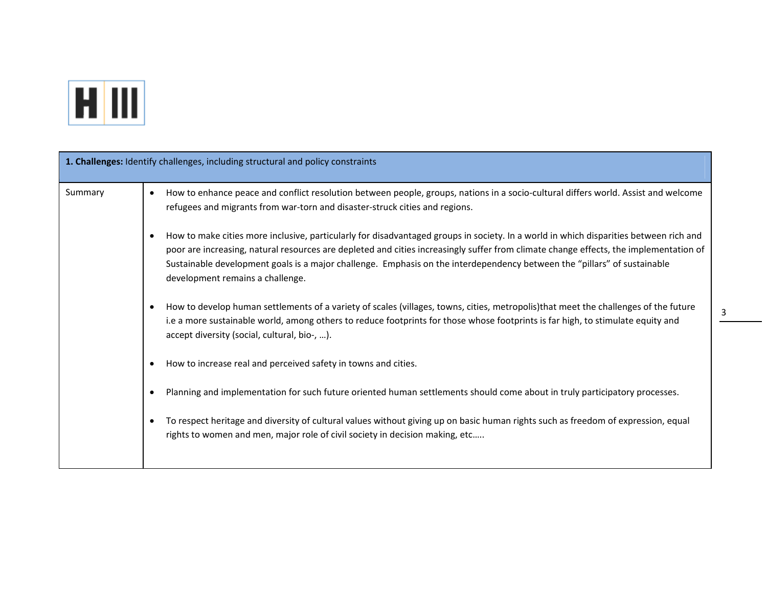

|         | 1. Challenges: Identify challenges, including structural and policy constraints                                                                                                                                                                                                                                                                                                                                                                             |
|---------|-------------------------------------------------------------------------------------------------------------------------------------------------------------------------------------------------------------------------------------------------------------------------------------------------------------------------------------------------------------------------------------------------------------------------------------------------------------|
| Summary | How to enhance peace and conflict resolution between people, groups, nations in a socio-cultural differs world. Assist and welcome<br>$\bullet$<br>refugees and migrants from war-torn and disaster-struck cities and regions.                                                                                                                                                                                                                              |
|         | How to make cities more inclusive, particularly for disadvantaged groups in society. In a world in which disparities between rich and<br>$\bullet$<br>poor are increasing, natural resources are depleted and cities increasingly suffer from climate change effects, the implementation of<br>Sustainable development goals is a major challenge. Emphasis on the interdependency between the "pillars" of sustainable<br>development remains a challenge. |
|         | How to develop human settlements of a variety of scales (villages, towns, cities, metropolis)that meet the challenges of the future<br>i.e a more sustainable world, among others to reduce footprints for those whose footprints is far high, to stimulate equity and<br>accept diversity (social, cultural, bio-, ).                                                                                                                                      |
|         | How to increase real and perceived safety in towns and cities.                                                                                                                                                                                                                                                                                                                                                                                              |
|         | Planning and implementation for such future oriented human settlements should come about in truly participatory processes.                                                                                                                                                                                                                                                                                                                                  |
|         | To respect heritage and diversity of cultural values without giving up on basic human rights such as freedom of expression, equal<br>rights to women and men, major role of civil society in decision making, etc                                                                                                                                                                                                                                           |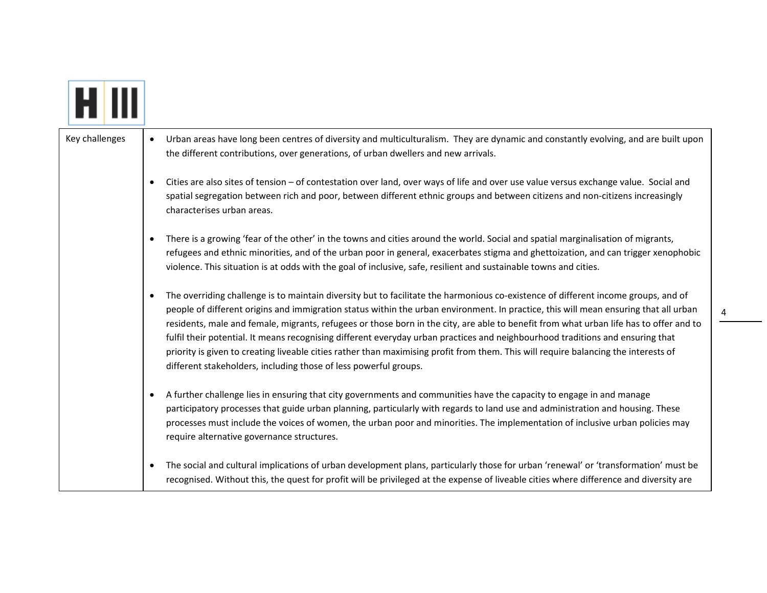| Key challenges | $\bullet$ | Urban areas have long been centres of diversity and multiculturalism. They are dynamic and constantly evolving, and are built upon<br>the different contributions, over generations, of urban dwellers and new arrivals.                                                                                                                                                                                                                                                                                                                                                                                                                                                                                                                                          |
|----------------|-----------|-------------------------------------------------------------------------------------------------------------------------------------------------------------------------------------------------------------------------------------------------------------------------------------------------------------------------------------------------------------------------------------------------------------------------------------------------------------------------------------------------------------------------------------------------------------------------------------------------------------------------------------------------------------------------------------------------------------------------------------------------------------------|
|                | $\bullet$ | Cities are also sites of tension - of contestation over land, over ways of life and over use value versus exchange value. Social and<br>spatial segregation between rich and poor, between different ethnic groups and between citizens and non-citizens increasingly<br>characterises urban areas.                                                                                                                                                                                                                                                                                                                                                                                                                                                               |
|                | $\bullet$ | There is a growing 'fear of the other' in the towns and cities around the world. Social and spatial marginalisation of migrants,<br>refugees and ethnic minorities, and of the urban poor in general, exacerbates stigma and ghettoization, and can trigger xenophobic<br>violence. This situation is at odds with the goal of inclusive, safe, resilient and sustainable towns and cities.                                                                                                                                                                                                                                                                                                                                                                       |
|                | $\bullet$ | The overriding challenge is to maintain diversity but to facilitate the harmonious co-existence of different income groups, and of<br>people of different origins and immigration status within the urban environment. In practice, this will mean ensuring that all urban<br>residents, male and female, migrants, refugees or those born in the city, are able to benefit from what urban life has to offer and to<br>fulfil their potential. It means recognising different everyday urban practices and neighbourhood traditions and ensuring that<br>priority is given to creating liveable cities rather than maximising profit from them. This will require balancing the interests of<br>different stakeholders, including those of less powerful groups. |
|                | $\bullet$ | A further challenge lies in ensuring that city governments and communities have the capacity to engage in and manage<br>participatory processes that guide urban planning, particularly with regards to land use and administration and housing. These<br>processes must include the voices of women, the urban poor and minorities. The implementation of inclusive urban policies may<br>require alternative governance structures.                                                                                                                                                                                                                                                                                                                             |
|                | $\bullet$ | The social and cultural implications of urban development plans, particularly those for urban 'renewal' or 'transformation' must be<br>recognised. Without this, the quest for profit will be privileged at the expense of liveable cities where difference and diversity are                                                                                                                                                                                                                                                                                                                                                                                                                                                                                     |

4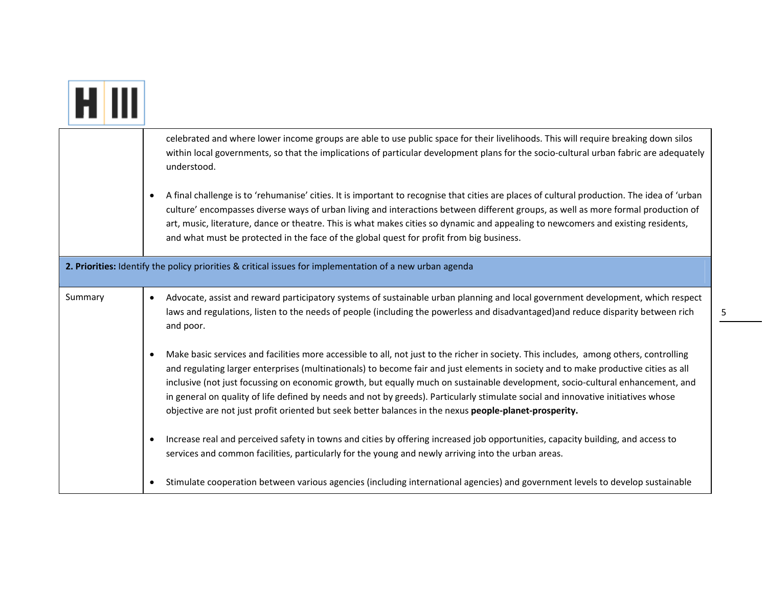|         | celebrated and where lower income groups are able to use public space for their livelihoods. This will require breaking down silos<br>within local governments, so that the implications of particular development plans for the socio-cultural urban fabric are adequately<br>understood.                                                                                                                                                                                                                                                                                                                                                                     |
|---------|----------------------------------------------------------------------------------------------------------------------------------------------------------------------------------------------------------------------------------------------------------------------------------------------------------------------------------------------------------------------------------------------------------------------------------------------------------------------------------------------------------------------------------------------------------------------------------------------------------------------------------------------------------------|
|         | A final challenge is to 'rehumanise' cities. It is important to recognise that cities are places of cultural production. The idea of 'urban<br>culture' encompasses diverse ways of urban living and interactions between different groups, as well as more formal production of<br>art, music, literature, dance or theatre. This is what makes cities so dynamic and appealing to newcomers and existing residents,<br>and what must be protected in the face of the global quest for profit from big business.                                                                                                                                              |
|         | 2. Priorities: Identify the policy priorities & critical issues for implementation of a new urban agenda                                                                                                                                                                                                                                                                                                                                                                                                                                                                                                                                                       |
| Summary | Advocate, assist and reward participatory systems of sustainable urban planning and local government development, which respect<br>laws and regulations, listen to the needs of people (including the powerless and disadvantaged)and reduce disparity between rich<br>and poor.                                                                                                                                                                                                                                                                                                                                                                               |
|         | Make basic services and facilities more accessible to all, not just to the richer in society. This includes, among others, controlling<br>and regulating larger enterprises (multinationals) to become fair and just elements in society and to make productive cities as all<br>inclusive (not just focussing on economic growth, but equally much on sustainable development, socio-cultural enhancement, and<br>in general on quality of life defined by needs and not by greeds). Particularly stimulate social and innovative initiatives whose<br>objective are not just profit oriented but seek better balances in the nexus people-planet-prosperity. |
|         | Increase real and perceived safety in towns and cities by offering increased job opportunities, capacity building, and access to<br>services and common facilities, particularly for the young and newly arriving into the urban areas.                                                                                                                                                                                                                                                                                                                                                                                                                        |
|         | Stimulate cooperation between various agencies (including international agencies) and government levels to develop sustainable                                                                                                                                                                                                                                                                                                                                                                                                                                                                                                                                 |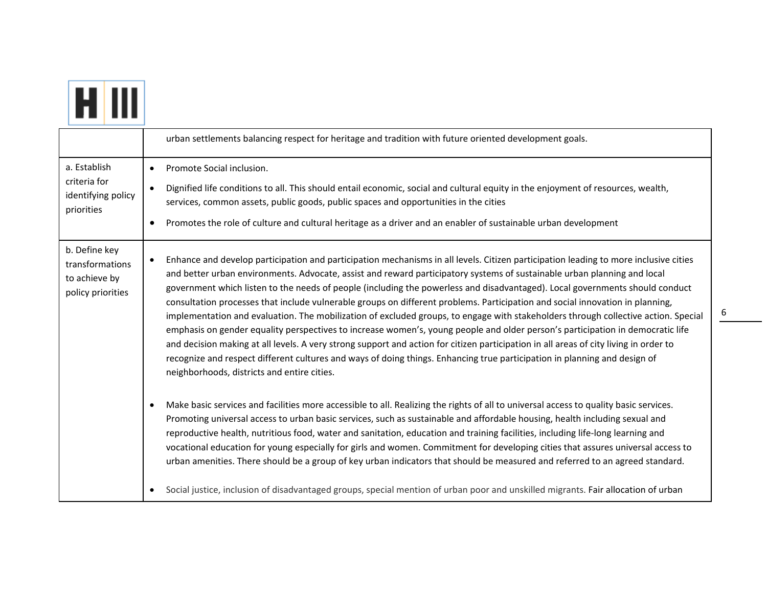|--|

|                                                                        | urban settlements balancing respect for heritage and tradition with future oriented development goals.                                                                                                                                                                                                                                                                                                                                                                                                                                                                                                                                                                                                                                                                                                                                                                                                                                                                                                                                                                                                                                      |
|------------------------------------------------------------------------|---------------------------------------------------------------------------------------------------------------------------------------------------------------------------------------------------------------------------------------------------------------------------------------------------------------------------------------------------------------------------------------------------------------------------------------------------------------------------------------------------------------------------------------------------------------------------------------------------------------------------------------------------------------------------------------------------------------------------------------------------------------------------------------------------------------------------------------------------------------------------------------------------------------------------------------------------------------------------------------------------------------------------------------------------------------------------------------------------------------------------------------------|
| a. Establish<br>criteria for<br>identifying policy<br>priorities       | Promote Social inclusion.<br>$\bullet$<br>Dignified life conditions to all. This should entail economic, social and cultural equity in the enjoyment of resources, wealth,<br>services, common assets, public goods, public spaces and opportunities in the cities<br>Promotes the role of culture and cultural heritage as a driver and an enabler of sustainable urban development                                                                                                                                                                                                                                                                                                                                                                                                                                                                                                                                                                                                                                                                                                                                                        |
| b. Define key<br>transformations<br>to achieve by<br>policy priorities | Enhance and develop participation and participation mechanisms in all levels. Citizen participation leading to more inclusive cities<br>$\bullet$<br>and better urban environments. Advocate, assist and reward participatory systems of sustainable urban planning and local<br>government which listen to the needs of people (including the powerless and disadvantaged). Local governments should conduct<br>consultation processes that include vulnerable groups on different problems. Participation and social innovation in planning,<br>implementation and evaluation. The mobilization of excluded groups, to engage with stakeholders through collective action. Special<br>emphasis on gender equality perspectives to increase women's, young people and older person's participation in democratic life<br>and decision making at all levels. A very strong support and action for citizen participation in all areas of city living in order to<br>recognize and respect different cultures and ways of doing things. Enhancing true participation in planning and design of<br>neighborhoods, districts and entire cities. |
|                                                                        | Make basic services and facilities more accessible to all. Realizing the rights of all to universal access to quality basic services.<br>$\bullet$<br>Promoting universal access to urban basic services, such as sustainable and affordable housing, health including sexual and<br>reproductive health, nutritious food, water and sanitation, education and training facilities, including life-long learning and<br>vocational education for young especially for girls and women. Commitment for developing cities that assures universal access to<br>urban amenities. There should be a group of key urban indicators that should be measured and referred to an agreed standard.<br>Social justice, inclusion of disadvantaged groups, special mention of urban poor and unskilled migrants. Fair allocation of urban                                                                                                                                                                                                                                                                                                               |

6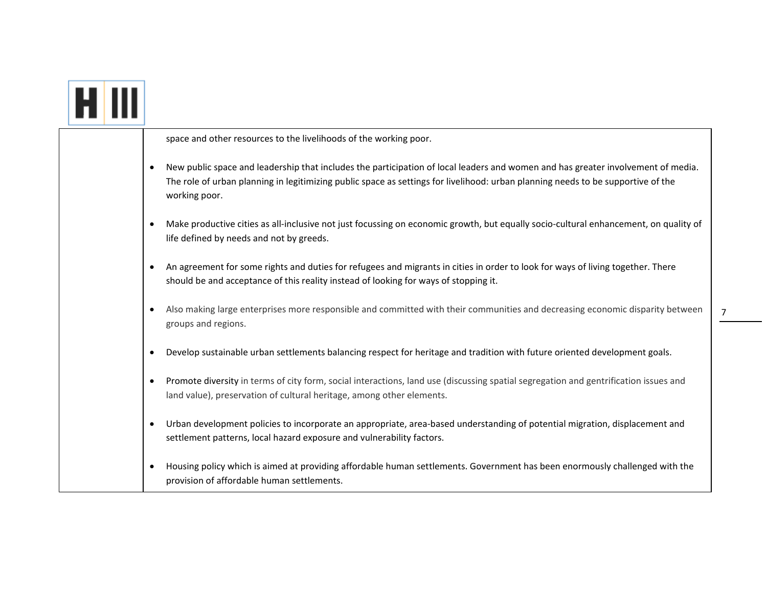|  | space and other resources to the livelihoods of the working poor.                                                                                                                                                                                                                     |
|--|---------------------------------------------------------------------------------------------------------------------------------------------------------------------------------------------------------------------------------------------------------------------------------------|
|  | New public space and leadership that includes the participation of local leaders and women and has greater involvement of media.<br>The role of urban planning in legitimizing public space as settings for livelihood: urban planning needs to be supportive of the<br>working poor. |
|  | Make productive cities as all-inclusive not just focussing on economic growth, but equally socio-cultural enhancement, on quality of<br>life defined by needs and not by greeds.                                                                                                      |
|  | An agreement for some rights and duties for refugees and migrants in cities in order to look for ways of living together. There<br>should be and acceptance of this reality instead of looking for ways of stopping it.                                                               |
|  | Also making large enterprises more responsible and committed with their communities and decreasing economic disparity between<br>groups and regions.                                                                                                                                  |
|  | Develop sustainable urban settlements balancing respect for heritage and tradition with future oriented development goals.                                                                                                                                                            |
|  | Promote diversity in terms of city form, social interactions, land use (discussing spatial segregation and gentrification issues and<br>land value), preservation of cultural heritage, among other elements.                                                                         |
|  | Urban development policies to incorporate an appropriate, area-based understanding of potential migration, displacement and<br>settlement patterns, local hazard exposure and vulnerability factors.                                                                                  |
|  | Housing policy which is aimed at providing affordable human settlements. Government has been enormously challenged with the<br>provision of affordable human settlements.                                                                                                             |

7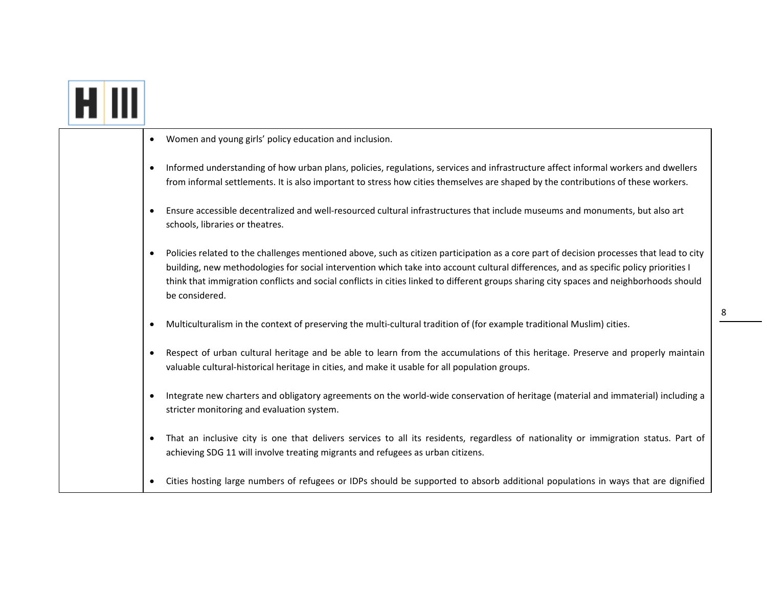|  | Women and young girls' policy education and inclusion.                                                                                                                                                                                                                                                                                                                                                                                         |
|--|------------------------------------------------------------------------------------------------------------------------------------------------------------------------------------------------------------------------------------------------------------------------------------------------------------------------------------------------------------------------------------------------------------------------------------------------|
|  | Informed understanding of how urban plans, policies, regulations, services and infrastructure affect informal workers and dwellers<br>from informal settlements. It is also important to stress how cities themselves are shaped by the contributions of these workers.                                                                                                                                                                        |
|  | Ensure accessible decentralized and well-resourced cultural infrastructures that include museums and monuments, but also art<br>schools, libraries or theatres.                                                                                                                                                                                                                                                                                |
|  | Policies related to the challenges mentioned above, such as citizen participation as a core part of decision processes that lead to city<br>building, new methodologies for social intervention which take into account cultural differences, and as specific policy priorities I<br>think that immigration conflicts and social conflicts in cities linked to different groups sharing city spaces and neighborhoods should<br>be considered. |
|  | Multiculturalism in the context of preserving the multi-cultural tradition of (for example traditional Muslim) cities.                                                                                                                                                                                                                                                                                                                         |
|  | Respect of urban cultural heritage and be able to learn from the accumulations of this heritage. Preserve and properly maintain<br>valuable cultural-historical heritage in cities, and make it usable for all population groups.                                                                                                                                                                                                              |
|  | Integrate new charters and obligatory agreements on the world-wide conservation of heritage (material and immaterial) including a<br>stricter monitoring and evaluation system.                                                                                                                                                                                                                                                                |
|  | That an inclusive city is one that delivers services to all its residents, regardless of nationality or immigration status. Part of<br>achieving SDG 11 will involve treating migrants and refugees as urban citizens.                                                                                                                                                                                                                         |
|  | Cities hosting large numbers of refugees or IDPs should be supported to absorb additional populations in ways that are dignified                                                                                                                                                                                                                                                                                                               |

<u>and the state of the state of the state of the state of the state of the state of the state of the state of the state of the state of the state of the state of the state of the state of the state of the state of the state</u>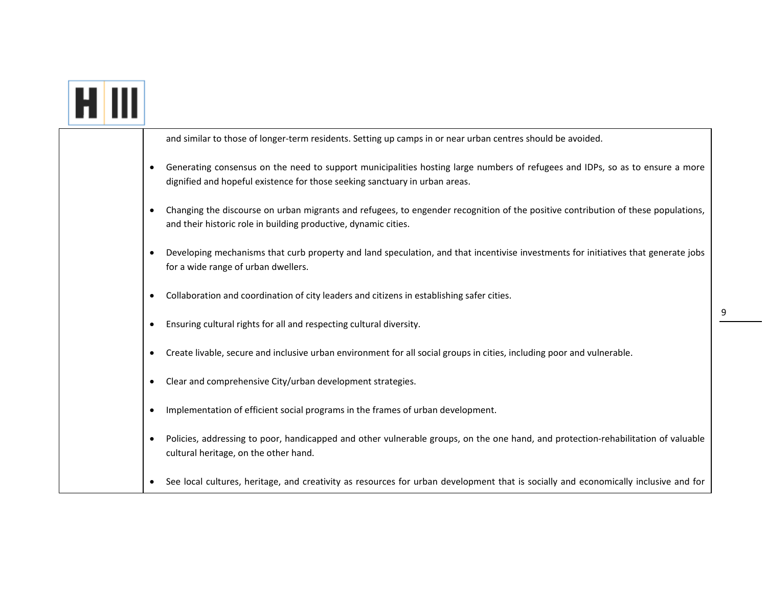|  |           | and similar to those of longer-term residents. Setting up camps in or near urban centres should be avoided.                                                                                                  |
|--|-----------|--------------------------------------------------------------------------------------------------------------------------------------------------------------------------------------------------------------|
|  |           | Generating consensus on the need to support municipalities hosting large numbers of refugees and IDPs, so as to ensure a more<br>dignified and hopeful existence for those seeking sanctuary in urban areas. |
|  |           | Changing the discourse on urban migrants and refugees, to engender recognition of the positive contribution of these populations,<br>and their historic role in building productive, dynamic cities.         |
|  |           | Developing mechanisms that curb property and land speculation, and that incentivise investments for initiatives that generate jobs<br>for a wide range of urban dwellers.                                    |
|  |           | Collaboration and coordination of city leaders and citizens in establishing safer cities.                                                                                                                    |
|  |           | Ensuring cultural rights for all and respecting cultural diversity.                                                                                                                                          |
|  |           | Create livable, secure and inclusive urban environment for all social groups in cities, including poor and vulnerable.                                                                                       |
|  |           | Clear and comprehensive City/urban development strategies.                                                                                                                                                   |
|  | $\bullet$ | Implementation of efficient social programs in the frames of urban development.                                                                                                                              |
|  |           | Policies, addressing to poor, handicapped and other vulnerable groups, on the one hand, and protection-rehabilitation of valuable<br>cultural heritage, on the other hand.                                   |
|  |           | See local cultures, heritage, and creativity as resources for urban development that is socially and economically inclusive and for                                                                          |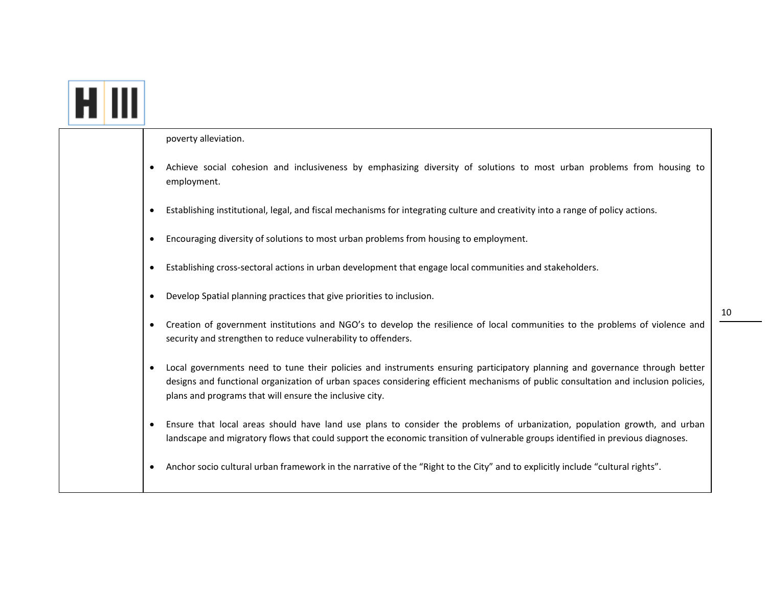| poverty alleviation.                                                                                                                                                                                                                                                                                                          |
|-------------------------------------------------------------------------------------------------------------------------------------------------------------------------------------------------------------------------------------------------------------------------------------------------------------------------------|
| Achieve social cohesion and inclusiveness by emphasizing diversity of solutions to most urban problems from housing to<br>employment.                                                                                                                                                                                         |
| Establishing institutional, legal, and fiscal mechanisms for integrating culture and creativity into a range of policy actions.                                                                                                                                                                                               |
| Encouraging diversity of solutions to most urban problems from housing to employment.                                                                                                                                                                                                                                         |
| Establishing cross-sectoral actions in urban development that engage local communities and stakeholders.                                                                                                                                                                                                                      |
| Develop Spatial planning practices that give priorities to inclusion.                                                                                                                                                                                                                                                         |
| Creation of government institutions and NGO's to develop the resilience of local communities to the problems of violence and<br>security and strengthen to reduce vulnerability to offenders.                                                                                                                                 |
| Local governments need to tune their policies and instruments ensuring participatory planning and governance through better<br>designs and functional organization of urban spaces considering efficient mechanisms of public consultation and inclusion policies,<br>plans and programs that will ensure the inclusive city. |
| Ensure that local areas should have land use plans to consider the problems of urbanization, population growth, and urban<br>landscape and migratory flows that could support the economic transition of vulnerable groups identified in previous diagnoses.                                                                  |
| Anchor socio cultural urban framework in the narrative of the "Right to the City" and to explicitly include "cultural rights".                                                                                                                                                                                                |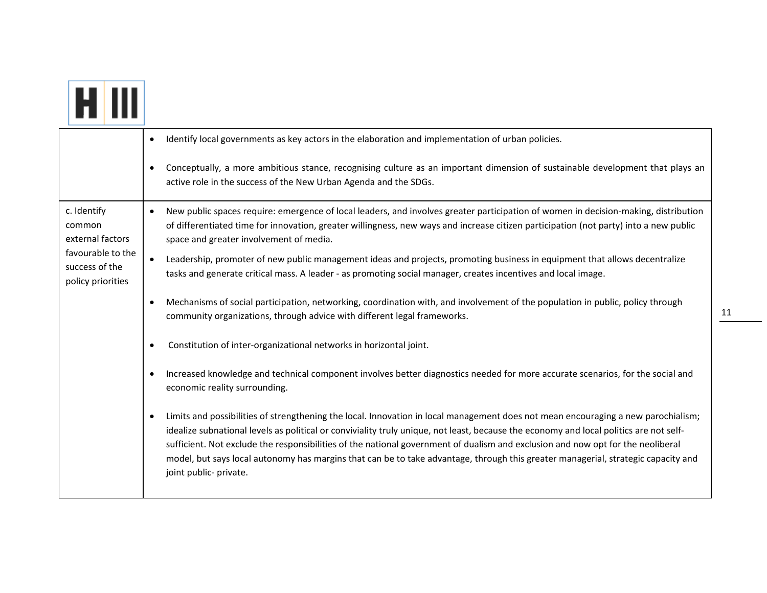|                                                          | Identify local governments as key actors in the elaboration and implementation of urban policies.                                                                                                                                                                                                                                                                                                                                                                                                                                                                                          |
|----------------------------------------------------------|--------------------------------------------------------------------------------------------------------------------------------------------------------------------------------------------------------------------------------------------------------------------------------------------------------------------------------------------------------------------------------------------------------------------------------------------------------------------------------------------------------------------------------------------------------------------------------------------|
|                                                          | Conceptually, a more ambitious stance, recognising culture as an important dimension of sustainable development that plays an<br>active role in the success of the New Urban Agenda and the SDGs.                                                                                                                                                                                                                                                                                                                                                                                          |
| c. Identify<br>common<br>external factors                | New public spaces require: emergence of local leaders, and involves greater participation of women in decision-making, distribution<br>$\bullet$<br>of differentiated time for innovation, greater willingness, new ways and increase citizen participation (not party) into a new public<br>space and greater involvement of media.                                                                                                                                                                                                                                                       |
| favourable to the<br>success of the<br>policy priorities | Leadership, promoter of new public management ideas and projects, promoting business in equipment that allows decentralize<br>$\bullet$<br>tasks and generate critical mass. A leader - as promoting social manager, creates incentives and local image.                                                                                                                                                                                                                                                                                                                                   |
|                                                          | Mechanisms of social participation, networking, coordination with, and involvement of the population in public, policy through<br>$\bullet$<br>community organizations, through advice with different legal frameworks.                                                                                                                                                                                                                                                                                                                                                                    |
|                                                          | Constitution of inter-organizational networks in horizontal joint.                                                                                                                                                                                                                                                                                                                                                                                                                                                                                                                         |
|                                                          | Increased knowledge and technical component involves better diagnostics needed for more accurate scenarios, for the social and<br>economic reality surrounding.                                                                                                                                                                                                                                                                                                                                                                                                                            |
|                                                          | Limits and possibilities of strengthening the local. Innovation in local management does not mean encouraging a new parochialism;<br>$\bullet$<br>idealize subnational levels as political or conviviality truly unique, not least, because the economy and local politics are not self-<br>sufficient. Not exclude the responsibilities of the national government of dualism and exclusion and now opt for the neoliberal<br>model, but says local autonomy has margins that can be to take advantage, through this greater managerial, strategic capacity and<br>joint public- private. |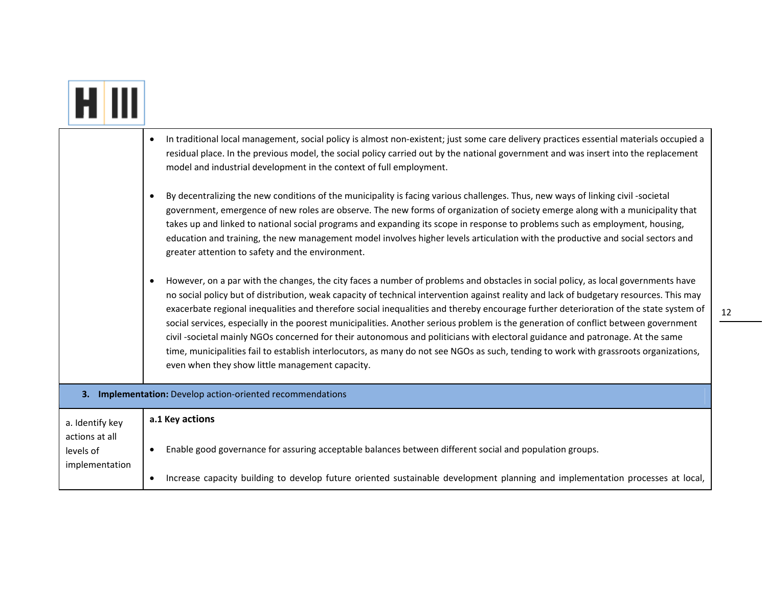|                                                                  | In traditional local management, social policy is almost non-existent; just some care delivery practices essential materials occupied a<br>$\bullet$<br>residual place. In the previous model, the social policy carried out by the national government and was insert into the replacement<br>model and industrial development in the context of full employment.                                                                                                                                                                                                                                                                                                                                                                                                                                                                                                                                                                                                                                                                                                                                                                                                                                                                                                                                                                                                                                                                                                                                               |
|------------------------------------------------------------------|------------------------------------------------------------------------------------------------------------------------------------------------------------------------------------------------------------------------------------------------------------------------------------------------------------------------------------------------------------------------------------------------------------------------------------------------------------------------------------------------------------------------------------------------------------------------------------------------------------------------------------------------------------------------------------------------------------------------------------------------------------------------------------------------------------------------------------------------------------------------------------------------------------------------------------------------------------------------------------------------------------------------------------------------------------------------------------------------------------------------------------------------------------------------------------------------------------------------------------------------------------------------------------------------------------------------------------------------------------------------------------------------------------------------------------------------------------------------------------------------------------------|
|                                                                  | By decentralizing the new conditions of the municipality is facing various challenges. Thus, new ways of linking civil -societal<br>$\bullet$<br>government, emergence of new roles are observe. The new forms of organization of society emerge along with a municipality that<br>takes up and linked to national social programs and expanding its scope in response to problems such as employment, housing,<br>education and training, the new management model involves higher levels articulation with the productive and social sectors and<br>greater attention to safety and the environment.<br>However, on a par with the changes, the city faces a number of problems and obstacles in social policy, as local governments have<br>$\bullet$<br>no social policy but of distribution, weak capacity of technical intervention against reality and lack of budgetary resources. This may<br>exacerbate regional inequalities and therefore social inequalities and thereby encourage further deterioration of the state system of<br>social services, especially in the poorest municipalities. Another serious problem is the generation of conflict between government<br>civil -societal mainly NGOs concerned for their autonomous and politicians with electoral guidance and patronage. At the same<br>time, municipalities fail to establish interlocutors, as many do not see NGOs as such, tending to work with grassroots organizations,<br>even when they show little management capacity. |
|                                                                  | 3. Implementation: Develop action-oriented recommendations                                                                                                                                                                                                                                                                                                                                                                                                                                                                                                                                                                                                                                                                                                                                                                                                                                                                                                                                                                                                                                                                                                                                                                                                                                                                                                                                                                                                                                                       |
| a. Identify key<br>actions at all<br>levels of<br>implementation | a.1 Key actions<br>Enable good governance for assuring acceptable balances between different social and population groups.<br>٠<br>Increase capacity building to develop future oriented sustainable development planning and implementation processes at local,<br>$\bullet$                                                                                                                                                                                                                                                                                                                                                                                                                                                                                                                                                                                                                                                                                                                                                                                                                                                                                                                                                                                                                                                                                                                                                                                                                                    |
|                                                                  |                                                                                                                                                                                                                                                                                                                                                                                                                                                                                                                                                                                                                                                                                                                                                                                                                                                                                                                                                                                                                                                                                                                                                                                                                                                                                                                                                                                                                                                                                                                  |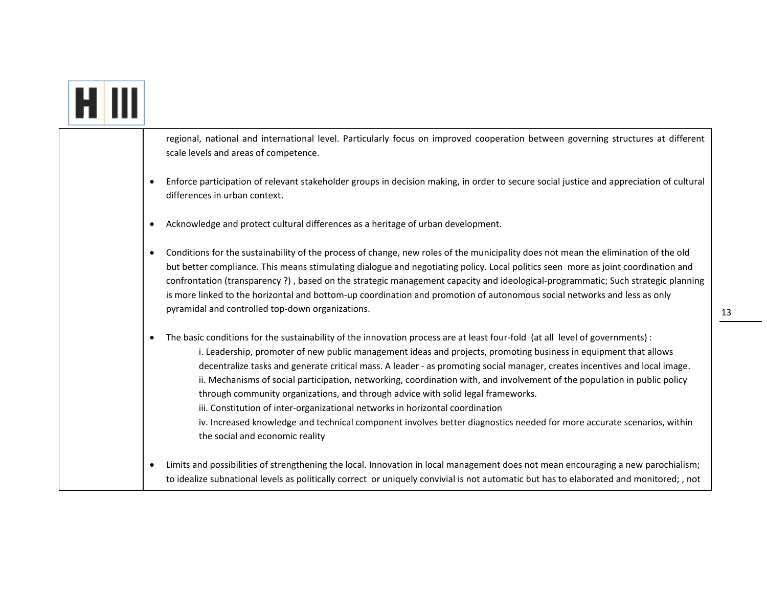|  |   | regional, national and international level. Particularly focus on improved cooperation between governing structures at different<br>scale levels and areas of competence.                                                                                                                                                                                                                                                                                                                                                                                                                                                                                                                                                                                                                                                                     |
|--|---|-----------------------------------------------------------------------------------------------------------------------------------------------------------------------------------------------------------------------------------------------------------------------------------------------------------------------------------------------------------------------------------------------------------------------------------------------------------------------------------------------------------------------------------------------------------------------------------------------------------------------------------------------------------------------------------------------------------------------------------------------------------------------------------------------------------------------------------------------|
|  |   | Enforce participation of relevant stakeholder groups in decision making, in order to secure social justice and appreciation of cultural<br>differences in urban context.                                                                                                                                                                                                                                                                                                                                                                                                                                                                                                                                                                                                                                                                      |
|  |   | Acknowledge and protect cultural differences as a heritage of urban development.                                                                                                                                                                                                                                                                                                                                                                                                                                                                                                                                                                                                                                                                                                                                                              |
|  | ٠ | Conditions for the sustainability of the process of change, new roles of the municipality does not mean the elimination of the old<br>but better compliance. This means stimulating dialogue and negotiating policy. Local politics seen more as joint coordination and<br>confrontation (transparency?), based on the strategic management capacity and ideological-programmatic; Such strategic planning<br>is more linked to the horizontal and bottom-up coordination and promotion of autonomous social networks and less as only<br>pyramidal and controlled top-down organizations.                                                                                                                                                                                                                                                    |
|  |   | The basic conditions for the sustainability of the innovation process are at least four-fold (at all level of governments) :<br>i. Leadership, promoter of new public management ideas and projects, promoting business in equipment that allows<br>decentralize tasks and generate critical mass. A leader - as promoting social manager, creates incentives and local image.<br>ii. Mechanisms of social participation, networking, coordination with, and involvement of the population in public policy<br>through community organizations, and through advice with solid legal frameworks.<br>iii. Constitution of inter-organizational networks in horizontal coordination<br>iv. Increased knowledge and technical component involves better diagnostics needed for more accurate scenarios, within<br>the social and economic reality |
|  |   | Limits and possibilities of strengthening the local. Innovation in local management does not mean encouraging a new parochialism;<br>to idealize subnational levels as politically correct or uniquely convivial is not automatic but has to elaborated and monitored; , not                                                                                                                                                                                                                                                                                                                                                                                                                                                                                                                                                                  |